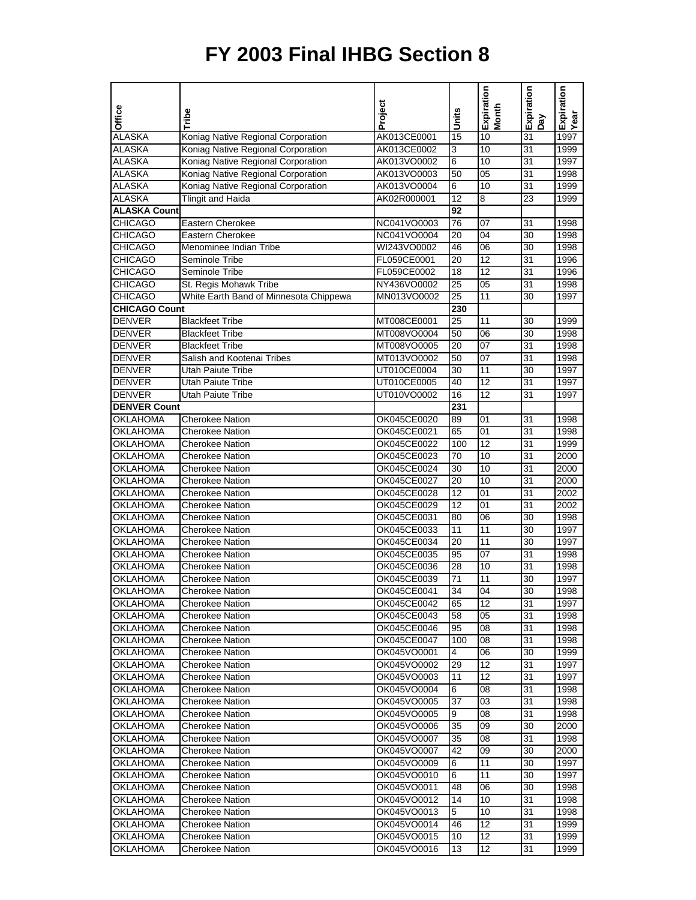## **FY 2003 Final IHBG Section 8**

|                      |                                        | Project     |                 | Expiration<br>Month | Expiration      | Expiration |
|----------------------|----------------------------------------|-------------|-----------------|---------------------|-----------------|------------|
| Office               | Tribe                                  |             | Units           |                     | Λed             | Year       |
| <b>ALASKA</b>        | Koniag Native Regional Corporation     | AK013CE0001 | 15              | 10                  | $\overline{31}$ | 1997       |
| ALASKA               | Koniag Native Regional Corporation     | AK013CE0002 | 3               | 10                  | 31              | 1999       |
|                      |                                        |             |                 |                     |                 |            |
| <b>ALASKA</b>        | Koniag Native Regional Corporation     | AK013VO0002 | 6               | 10                  | $\overline{31}$ | 1997       |
| <b>ALASKA</b>        | Koniag Native Regional Corporation     | AK013VO0003 | 50              | $\overline{05}$     | 31              | 1998       |
| <b>ALASKA</b>        | Koniag Native Regional Corporation     | AK013VO0004 | $\overline{6}$  | 10                  | 31              | 1999       |
| ALASKA               | <b>Tlingit and Haida</b>               | AK02R000001 | 12              | 8                   | 23              | 1999       |
| <b>ALASKA Count</b>  |                                        |             | 92              |                     |                 |            |
| <b>CHICAGO</b>       | Eastern Cherokee                       | NC041VO0003 | 76              | 07                  | 31              | 1998       |
| <b>CHICAGO</b>       | Eastern Cherokee                       | NC041VO0004 | 20              | 04                  | 30              | 1998       |
| <b>CHICAGO</b>       | Menominee Indian Tribe                 | WI243VO0002 | 46              | $\overline{06}$     | 30              | 1998       |
| <b>CHICAGO</b>       | Seminole Tribe                         | FL059CE0001 | 20              | 12                  | 31              | 1996       |
| CHICAGO              | Seminole Tribe                         | FL059CE0002 | 18              | $\overline{12}$     | 31              | 1996       |
| <b>CHICAGO</b>       | St. Regis Mohawk Tribe                 | NY436VO0002 | $\overline{25}$ | $\overline{05}$     | 31              | 1998       |
| <b>CHICAGO</b>       | White Earth Band of Minnesota Chippewa | MN013VO0002 | 25              | 11                  | 30              | 1997       |
| <b>CHICAGO Count</b> |                                        |             | 230             |                     |                 |            |
|                      |                                        |             |                 |                     |                 |            |
| <b>DENVER</b>        | <b>Blackfeet Tribe</b>                 | MT008CE0001 | 25              | 11                  | 30              | 1999       |
| <b>DENVER</b>        | <b>Blackfeet Tribe</b>                 | MT008VO0004 | 50              | 06                  | 30              | 1998       |
| <b>DENVER</b>        | <b>Blackfeet Tribe</b>                 | MT008VO0005 | 20              | $\overline{07}$     | $\overline{31}$ | 1998       |
| <b>DENVER</b>        | Salish and Kootenai Tribes             | MT013VO0002 | 50              | $\overline{07}$     | 31              | 1998       |
| <b>DENVER</b>        | <b>Utah Paiute Tribe</b>               | UT010CE0004 | 30              | 11                  | 30              | 1997       |
| <b>DENVER</b>        | <b>Utah Paiute Tribe</b>               | UT010CE0005 | 40              | $\overline{12}$     | 31              | 1997       |
| DENVER               | <b>Utah Paiute Tribe</b>               | UT010VO0002 | 16              | $\overline{12}$     | 31              | 1997       |
| <b>DENVER Count</b>  |                                        |             | 231             |                     |                 |            |
| OKLAHOMA             | <b>Cherokee Nation</b>                 | OK045CE0020 | 89              | 01                  | 31              | 1998       |
| <b>OKLAHOMA</b>      | <b>Cherokee Nation</b>                 | OK045CE0021 | 65              | $\overline{01}$     | 31              | 1998       |
| <b>OKLAHOMA</b>      | <b>Cherokee Nation</b>                 | OK045CE0022 | 100             | 12                  | 31              | 1999       |
| OKLAHOMA             | <b>Cherokee Nation</b>                 | OK045CE0023 | 70              | 10                  | 31              | 2000       |
| <b>OKLAHOMA</b>      |                                        |             | 30              | $\overline{10}$     | $\overline{31}$ |            |
|                      | <b>Cherokee Nation</b>                 | OK045CE0024 |                 |                     |                 | 2000       |
| OKLAHOMA             | Cherokee Nation                        | OK045CE0027 | 20              | 10                  | 31              | 2000       |
| <b>OKLAHOMA</b>      | Cherokee Nation                        | OK045CE0028 | $\overline{12}$ | $\overline{01}$     | 31              | 2002       |
| <b>OKLAHOMA</b>      | <b>Cherokee Nation</b>                 | OK045CE0029 | 12              | $\overline{01}$     | 31              | 2002       |
| OKLAHOMA             | <b>Cherokee Nation</b>                 | OK045CE0031 | 80              | 06                  | 30              | 1998       |
| <b>OKLAHOMA</b>      | <b>Cherokee Nation</b>                 | OK045CE0033 | 11              | $\overline{11}$     | $\overline{30}$ | 1997       |
| OKLAHOMA             | Cherokee Nation                        | OK045CE0034 | 20              | 11                  | 30              | 1997       |
| <b>OKLAHOMA</b>      | <b>Cherokee Nation</b>                 | OK045CE0035 | $\overline{95}$ | $\overline{07}$     | 31              | 1998       |
| OKLAHOMA             | <b>Cherokee Nation</b>                 | OK045CE0036 | 28              | 10                  | 31              | 1998       |
| OKLAHOMA             | Cherokee Nation                        | OK045CE0039 | 71              | 11                  | 30              | 1997       |
| <b>OKLAHOMA</b>      | <b>Cherokee Nation</b>                 | OK045CE0041 | 34              | 04                  | 30              | 1998       |
| OKLAHOMA             | Cherokee Nation                        | OK045CE0042 | 65              | 12                  | 31              | 1997       |
| <b>OKLAHOMA</b>      | Cherokee Nation                        | OK045CE0043 | 58              | 05                  | 31              | 1998       |
| OKLAHOMA             | <b>Cherokee Nation</b>                 | OK045CE0046 | 95              | 08                  | 31              | 1998       |
|                      |                                        |             |                 |                     |                 |            |
| OKLAHOMA             | Cherokee Nation                        | OK045CE0047 | 100             | 08                  | 31              | 1998       |
| <b>OKLAHOMA</b>      | Cherokee Nation                        | OK045VO0001 | 4               | 06                  | 30              | 1999       |
| OKLAHOMA             | <b>Cherokee Nation</b>                 | OK045VO0002 | 29              | 12                  | 31              | 1997       |
| <b>OKLAHOMA</b>      | Cherokee Nation                        | OK045VO0003 | 11              | $\overline{12}$     | 31              | 1997       |
| <b>OKLAHOMA</b>      | Cherokee Nation                        | OK045VO0004 | 6               | 08                  | 31              | 1998       |
| <b>OKLAHOMA</b>      | Cherokee Nation                        | OK045VO0005 | 37              | 03                  | 31              | 1998       |
| <b>OKLAHOMA</b>      | Cherokee Nation                        | OK045VO0005 | 9               | 08                  | 31              | 1998       |
| <b>OKLAHOMA</b>      | Cherokee Nation                        | OK045VO0006 | 35              | 09                  | 30              | 2000       |
| <b>OKLAHOMA</b>      | Cherokee Nation                        | OK045VO0007 | 35              | 08                  | 31              | 1998       |
| OKLAHOMA             | Cherokee Nation                        | OK045VO0007 | 42              | 09                  | 30              | 2000       |
| OKLAHOMA             | Cherokee Nation                        | OK045VO0009 | 6               | 11                  | 30              | 1997       |
|                      |                                        |             |                 | 11                  |                 |            |
| <b>OKLAHOMA</b>      | Cherokee Nation                        | OK045VO0010 | 6               |                     | 30              | 1997       |
| <b>OKLAHOMA</b>      | Cherokee Nation                        | OK045VO0011 | 48              | 06                  | 30              | 1998       |
| <b>OKLAHOMA</b>      | Cherokee Nation                        | OK045VO0012 | 14              | 10                  | 31              | 1998       |
| <b>OKLAHOMA</b>      | Cherokee Nation                        | OK045VO0013 | 5               | 10                  | 31              | 1998       |
| <b>OKLAHOMA</b>      | Cherokee Nation                        | OK045VO0014 | 46              | 12                  | 31              | 1999       |
| <b>OKLAHOMA</b>      | Cherokee Nation                        | OK045VO0015 | 10              | 12                  | 31              | 1999       |
| <b>OKLAHOMA</b>      | Cherokee Nation                        | OK045VO0016 | 13              | 12                  | 31              | 1999       |